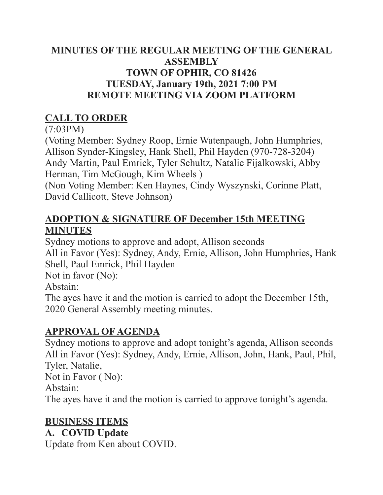### **MINUTES OF THE REGULAR MEETING OF THE GENERAL ASSEMBLY TOWN OF OPHIR, CO 81426 TUESDAY, January 19th, 2021 7:00 PM REMOTE MEETING VIA ZOOM PLATFORM**

# **CALL TO ORDER**

(7:03PM)

(Voting Member: Sydney Roop, Ernie Watenpaugh, John Humphries, Allison Synder-Kingsley, Hank Shell, Phil Hayden (970-728-3204) Andy Martin, Paul Emrick, Tyler Schultz, Natalie Fijalkowski, Abby Herman, Tim McGough, Kim Wheels )

(Non Voting Member: Ken Haynes, Cindy Wyszynski, Corinne Platt, David Callicott, Steve Johnson)

# **ADOPTION & SIGNATURE OF December 15th MEETING MINUTES**

Sydney motions to approve and adopt, Allison seconds All in Favor (Yes): Sydney, Andy, Ernie, Allison, John Humphries, Hank Shell, Paul Emrick, Phil Hayden Not in favor (No): Abstain:

The ayes have it and the motion is carried to adopt the December 15th, 2020 General Assembly meeting minutes.

# **APPROVAL OF AGENDA**

Sydney motions to approve and adopt tonight's agenda, Allison seconds All in Favor (Yes): Sydney, Andy, Ernie, Allison, John, Hank, Paul, Phil, Tyler, Natalie, Not in Favor ( No):

Abstain:

The ayes have it and the motion is carried to approve tonight's agenda.

# **BUSINESS ITEMS**

# **A. COVID Update**

Update from Ken about COVID.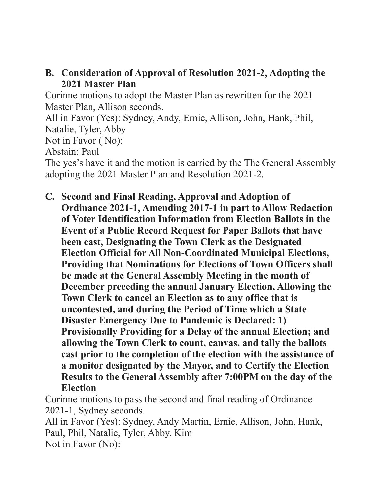#### **B. Consideration of Approval of Resolution 2021-2, Adopting the 2021 Master Plan**

Corinne motions to adopt the Master Plan as rewritten for the 2021 Master Plan, Allison seconds.

All in Favor (Yes): Sydney, Andy, Ernie, Allison, John, Hank, Phil, Natalie, Tyler, Abby

Not in Favor ( No):

Abstain: Paul

The yes's have it and the motion is carried by the The General Assembly adopting the 2021 Master Plan and Resolution 2021-2.

**C. Second and Final Reading, Approval and Adoption of Ordinance 2021-1, Amending 2017-1 in part to Allow Redaction of Voter Identification Information from Election Ballots in the Event of a Public Record Request for Paper Ballots that have been cast, Designating the Town Clerk as the Designated Election Official for All Non-Coordinated Municipal Elections, Providing that Nominations for Elections of Town Officers shall be made at the General Assembly Meeting in the month of December preceding the annual January Election, Allowing the Town Clerk to cancel an Election as to any office that is uncontested, and during the Period of Time which a State Disaster Emergency Due to Pandemic is Declared: 1) Provisionally Providing for a Delay of the annual Election; and allowing the Town Clerk to count, canvas, and tally the ballots cast prior to the completion of the election with the assistance of a monitor designated by the Mayor, and to Certify the Election Results to the General Assembly after 7:00PM on the day of the Election** 

Corinne motions to pass the second and final reading of Ordinance 2021-1, Sydney seconds. All in Favor (Yes): Sydney, Andy Martin, Ernie, Allison, John, Hank, Paul, Phil, Natalie, Tyler, Abby, Kim Not in Favor (No):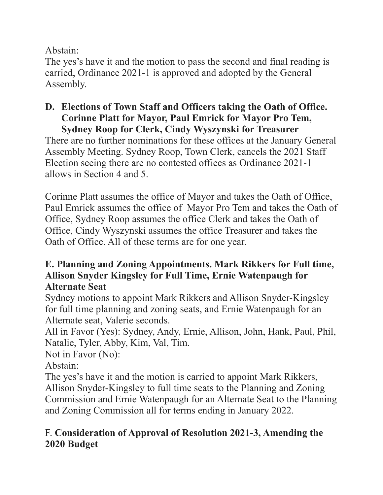Abstain:

The yes's have it and the motion to pass the second and final reading is carried, Ordinance 2021-1 is approved and adopted by the General Assembly.

# **D. Elections of Town Staff and Officers taking the Oath of Office. Corinne Platt for Mayor, Paul Emrick for Mayor Pro Tem,**

**Sydney Roop for Clerk, Cindy Wyszynski for Treasurer**  There are no further nominations for these offices at the January General Assembly Meeting. Sydney Roop, Town Clerk, cancels the 2021 Staff Election seeing there are no contested offices as Ordinance 2021-1 allows in Section 4 and 5.

Corinne Platt assumes the office of Mayor and takes the Oath of Office, Paul Emrick assumes the office of Mayor Pro Tem and takes the Oath of Office, Sydney Roop assumes the office Clerk and takes the Oath of Office, Cindy Wyszynski assumes the office Treasurer and takes the Oath of Office. All of these terms are for one year.

#### **E. Planning and Zoning Appointments. Mark Rikkers for Full time, Allison Snyder Kingsley for Full Time, Ernie Watenpaugh for Alternate Seat**

Sydney motions to appoint Mark Rikkers and Allison Snyder-Kingsley for full time planning and zoning seats, and Ernie Watenpaugh for an Alternate seat, Valerie seconds.

All in Favor (Yes): Sydney, Andy, Ernie, Allison, John, Hank, Paul, Phil, Natalie, Tyler, Abby, Kim, Val, Tim.

Not in Favor (No):

Abstain:

The yes's have it and the motion is carried to appoint Mark Rikkers, Allison Snyder-Kingsley to full time seats to the Planning and Zoning Commission and Ernie Watenpaugh for an Alternate Seat to the Planning and Zoning Commission all for terms ending in January 2022.

# F. **Consideration of Approval of Resolution 2021-3, Amending the 2020 Budget**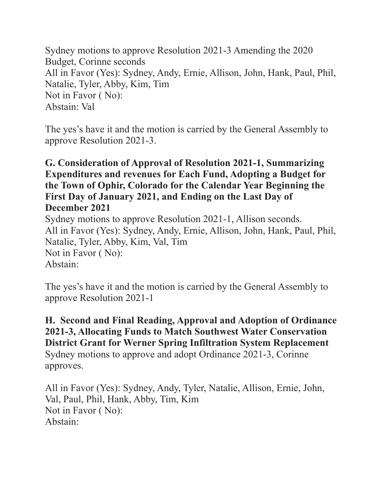Sydney motions to approve Resolution 2021-3 Amending the 2020 Budget, Corinne seconds All in Favor (Yes): Sydney, Andy, Ernie, Allison, John, Hank, Paul, Phil, Natalie, Tyler, Abby, Kim, Tim Not in Favor ( No): Abstain: Val

The yes's have it and the motion is carried by the General Assembly to approve Resolution 2021-3.

#### **G. Consideration of Approval of Resolution 2021-1, Summarizing Expenditures and revenues for Each Fund, Adopting a Budget for the Town of Ophir, Colorado for the Calendar Year Beginning the First Day of January 2021, and Ending on the Last Day of December 2021**

Sydney motions to approve Resolution 2021-1, Allison seconds. All in Favor (Yes): Sydney, Andy, Ernie, Allison, John, Hank, Paul, Phil, Natalie, Tyler, Abby, Kim, Val, Tim Not in Favor ( No): Abstain:

The yes's have it and the motion is carried by the General Assembly to approve Resolution 2021-1

#### **H. Second and Final Reading, Approval and Adoption of Ordinance 2021-3, Allocating Funds to Match Southwest Water Conservation District Grant for Werner Spring Infiltration System Replacement**  Sydney motions to approve and adopt Ordinance 2021-3, Corinne approves.

All in Favor (Yes): Sydney, Andy, Tyler, Natalie, Allison, Ernie, John, Val, Paul, Phil, Hank, Abby, Tim, Kim Not in Favor ( No): Abstain: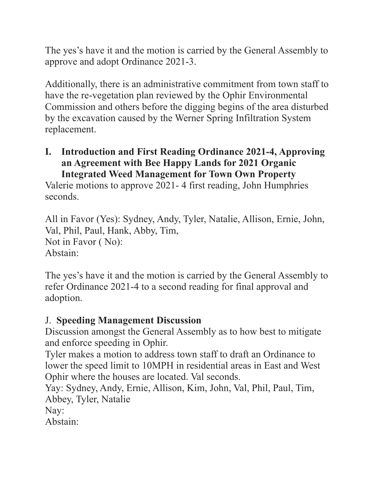The yes's have it and the motion is carried by the General Assembly to approve and adopt Ordinance 2021-3.

Additionally, there is an administrative commitment from town staff to have the re-vegetation plan reviewed by the Ophir Environmental Commission and others before the digging begins of the area disturbed by the excavation caused by the Werner Spring Infiltration System replacement.

**I. Introduction and First Reading Ordinance 2021-4, Approving an Agreement with Bee Happy Lands for 2021 Organic Integrated Weed Management for Town Own Property** 

Valerie motions to approve 2021- 4 first reading, John Humphries seconds.

All in Favor (Yes): Sydney, Andy, Tyler, Natalie, Allison, Ernie, John, Val, Phil, Paul, Hank, Abby, Tim, Not in Favor ( No): Abstain:

The yes's have it and the motion is carried by the General Assembly to refer Ordinance 2021-4 to a second reading for final approval and adoption.

#### J. **Speeding Management Discussion**

Discussion amongst the General Assembly as to how best to mitigate and enforce speeding in Ophir.

Tyler makes a motion to address town staff to draft an Ordinance to lower the speed limit to 10MPH in residential areas in East and West Ophir where the houses are located. Val seconds.

Yay: Sydney, Andy, Ernie, Allison, Kim, John, Val, Phil, Paul, Tim, Abbey, Tyler, Natalie

Nay:

Abstain: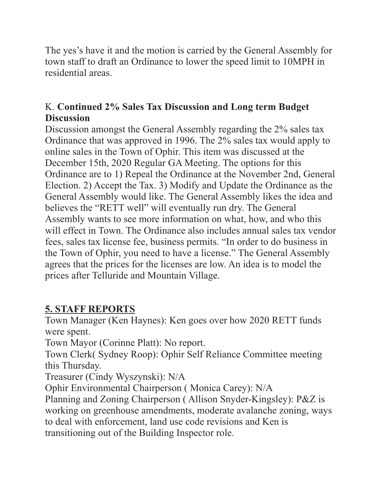The yes's have it and the motion is carried by the General Assembly for town staff to draft an Ordinance to lower the speed limit to 10MPH in residential areas.

### K. **Continued 2% Sales Tax Discussion and Long term Budget Discussion**

Discussion amongst the General Assembly regarding the 2% sales tax Ordinance that was approved in 1996. The 2% sales tax would apply to online sales in the Town of Ophir. This item was discussed at the December 15th, 2020 Regular GA Meeting. The options for this Ordinance are to 1) Repeal the Ordinance at the November 2nd, General Election. 2) Accept the Tax. 3) Modify and Update the Ordinance as the General Assembly would like. The General Assembly likes the idea and believes the "RETT well" will eventually run dry. The General Assembly wants to see more information on what, how, and who this will effect in Town. The Ordinance also includes annual sales tax vendor fees, sales tax license fee, business permits. "In order to do business in the Town of Ophir, you need to have a license." The General Assembly agrees that the prices for the licenses are low. An idea is to model the prices after Telluride and Mountain Village.

# **5. STAFF REPORTS**

Town Manager (Ken Haynes): Ken goes over how 2020 RETT funds were spent.

Town Mayor (Corinne Platt): No report.

Town Clerk( Sydney Roop): Ophir Self Reliance Committee meeting this Thursday.

Treasurer (Cindy Wyszynski): N/A

Ophir Environmental Chairperson ( Monica Carey): N/A

Planning and Zoning Chairperson ( Allison Snyder-Kingsley): P&Z is working on greenhouse amendments, moderate avalanche zoning, ways to deal with enforcement, land use code revisions and Ken is transitioning out of the Building Inspector role.